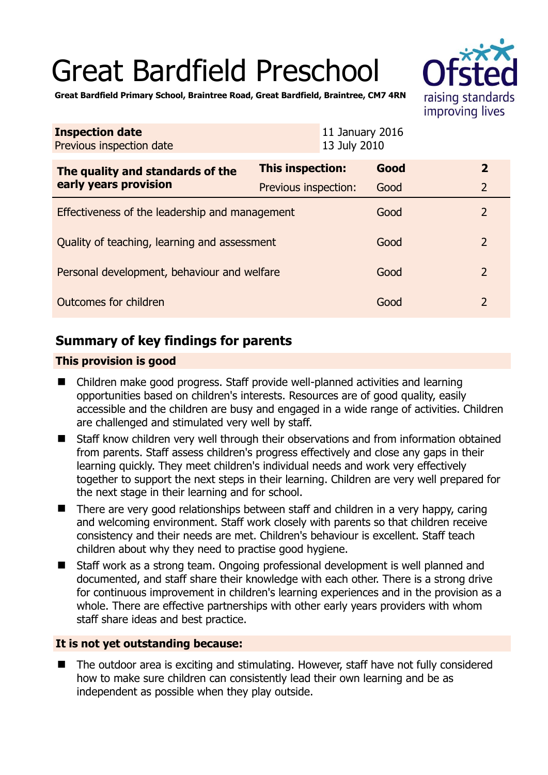# Great Bardfield Preschool



**Great Bardfield Primary School, Braintree Road, Great Bardfield, Braintree, CM7 4RN** 

| <b>Inspection date</b><br>Previous inspection date        |                      | 11 January 2016<br>13 July 2010 |                |
|-----------------------------------------------------------|----------------------|---------------------------------|----------------|
| The quality and standards of the<br>early years provision | This inspection:     | Good                            | $\mathbf{2}$   |
|                                                           | Previous inspection: | Good                            | $\overline{2}$ |
| Effectiveness of the leadership and management            |                      | Good                            | $\overline{2}$ |
| Quality of teaching, learning and assessment              |                      | Good                            | $\overline{2}$ |
| Personal development, behaviour and welfare               |                      | Good                            | $\overline{2}$ |
| Outcomes for children                                     |                      | Good                            | $\overline{2}$ |

# **Summary of key findings for parents**

## **This provision is good**

- Children make good progress. Staff provide well-planned activities and learning opportunities based on children's interests. Resources are of good quality, easily accessible and the children are busy and engaged in a wide range of activities. Children are challenged and stimulated very well by staff.
- Staff know children very well through their observations and from information obtained from parents. Staff assess children's progress effectively and close any gaps in their learning quickly. They meet children's individual needs and work very effectively together to support the next steps in their learning. Children are very well prepared for the next stage in their learning and for school.
- There are very good relationships between staff and children in a very happy, caring and welcoming environment. Staff work closely with parents so that children receive consistency and their needs are met. Children's behaviour is excellent. Staff teach children about why they need to practise good hygiene.
- Staff work as a strong team. Ongoing professional development is well planned and documented, and staff share their knowledge with each other. There is a strong drive for continuous improvement in children's learning experiences and in the provision as a whole. There are effective partnerships with other early years providers with whom staff share ideas and best practice.

### **It is not yet outstanding because:**

 The outdoor area is exciting and stimulating. However, staff have not fully considered how to make sure children can consistently lead their own learning and be as independent as possible when they play outside.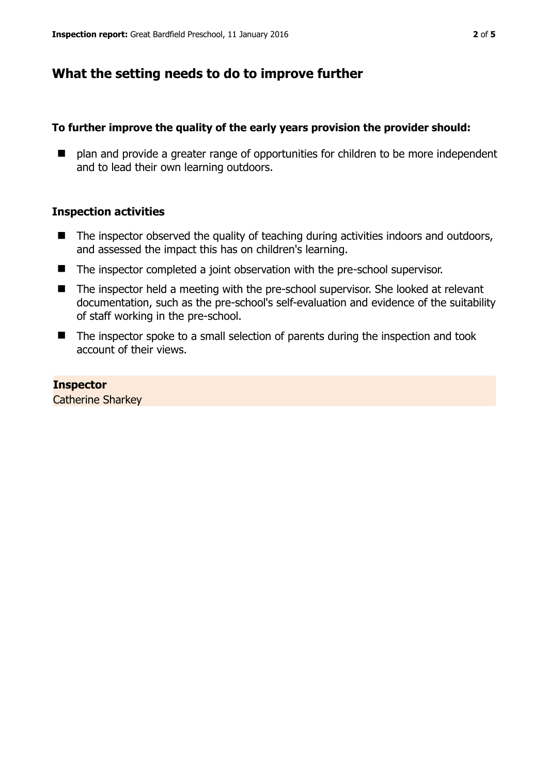## **What the setting needs to do to improve further**

#### **To further improve the quality of the early years provision the provider should:**

■ plan and provide a greater range of opportunities for children to be more independent and to lead their own learning outdoors.

#### **Inspection activities**

- $\blacksquare$  The inspector observed the quality of teaching during activities indoors and outdoors, and assessed the impact this has on children's learning.
- The inspector completed a joint observation with the pre-school supervisor.
- The inspector held a meeting with the pre-school supervisor. She looked at relevant documentation, such as the pre-school's self-evaluation and evidence of the suitability of staff working in the pre-school.
- The inspector spoke to a small selection of parents during the inspection and took account of their views.

**Inspector**  Catherine Sharkey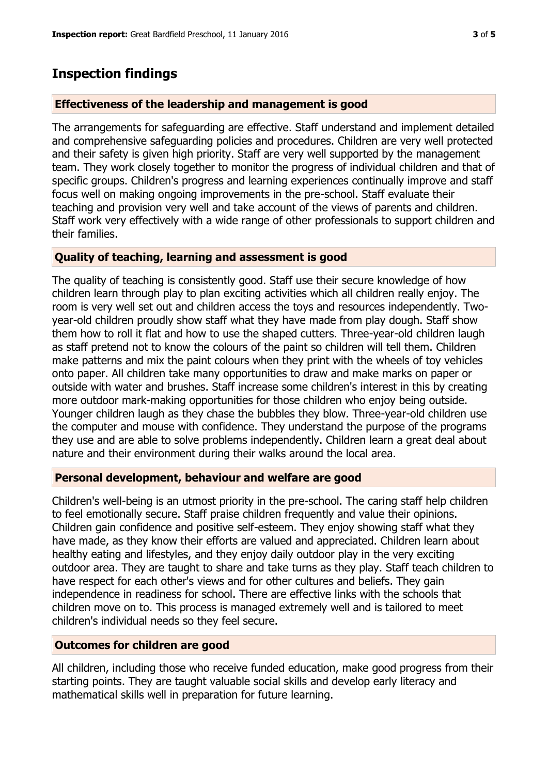# **Inspection findings**

## **Effectiveness of the leadership and management is good**

The arrangements for safeguarding are effective. Staff understand and implement detailed and comprehensive safeguarding policies and procedures. Children are very well protected and their safety is given high priority. Staff are very well supported by the management team. They work closely together to monitor the progress of individual children and that of specific groups. Children's progress and learning experiences continually improve and staff focus well on making ongoing improvements in the pre-school. Staff evaluate their teaching and provision very well and take account of the views of parents and children. Staff work very effectively with a wide range of other professionals to support children and their families.

### **Quality of teaching, learning and assessment is good**

The quality of teaching is consistently good. Staff use their secure knowledge of how children learn through play to plan exciting activities which all children really enjoy. The room is very well set out and children access the toys and resources independently. Twoyear-old children proudly show staff what they have made from play dough. Staff show them how to roll it flat and how to use the shaped cutters. Three-year-old children laugh as staff pretend not to know the colours of the paint so children will tell them. Children make patterns and mix the paint colours when they print with the wheels of toy vehicles onto paper. All children take many opportunities to draw and make marks on paper or outside with water and brushes. Staff increase some children's interest in this by creating more outdoor mark-making opportunities for those children who enjoy being outside. Younger children laugh as they chase the bubbles they blow. Three-year-old children use the computer and mouse with confidence. They understand the purpose of the programs they use and are able to solve problems independently. Children learn a great deal about nature and their environment during their walks around the local area.

### **Personal development, behaviour and welfare are good**

Children's well-being is an utmost priority in the pre-school. The caring staff help children to feel emotionally secure. Staff praise children frequently and value their opinions. Children gain confidence and positive self-esteem. They enjoy showing staff what they have made, as they know their efforts are valued and appreciated. Children learn about healthy eating and lifestyles, and they enjoy daily outdoor play in the very exciting outdoor area. They are taught to share and take turns as they play. Staff teach children to have respect for each other's views and for other cultures and beliefs. They gain independence in readiness for school. There are effective links with the schools that children move on to. This process is managed extremely well and is tailored to meet children's individual needs so they feel secure.

## **Outcomes for children are good**

All children, including those who receive funded education, make good progress from their starting points. They are taught valuable social skills and develop early literacy and mathematical skills well in preparation for future learning.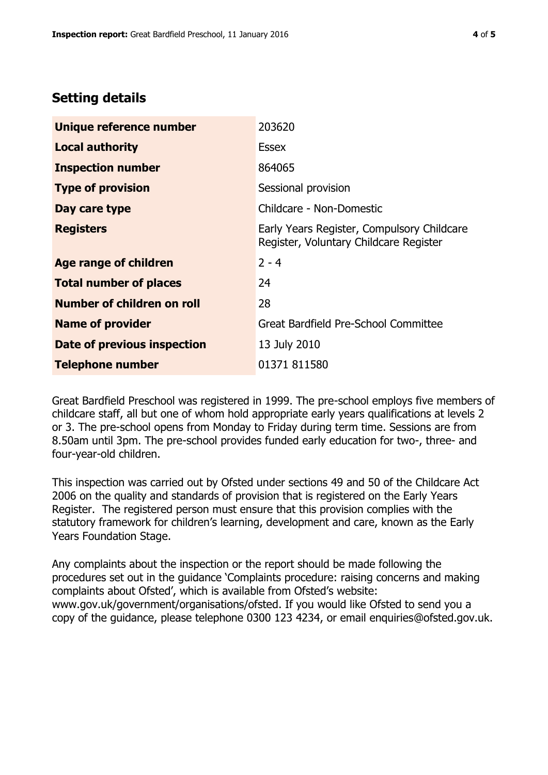## **Setting details**

| Unique reference number       | 203620                                                                               |  |
|-------------------------------|--------------------------------------------------------------------------------------|--|
| <b>Local authority</b>        | <b>Essex</b>                                                                         |  |
| <b>Inspection number</b>      | 864065                                                                               |  |
| <b>Type of provision</b>      | Sessional provision                                                                  |  |
| Day care type                 | Childcare - Non-Domestic                                                             |  |
| <b>Registers</b>              | Early Years Register, Compulsory Childcare<br>Register, Voluntary Childcare Register |  |
| <b>Age range of children</b>  | $2 - 4$                                                                              |  |
| <b>Total number of places</b> | 24                                                                                   |  |
| Number of children on roll    | 28                                                                                   |  |
| <b>Name of provider</b>       | Great Bardfield Pre-School Committee                                                 |  |
| Date of previous inspection   | 13 July 2010                                                                         |  |
| <b>Telephone number</b>       | 01371 811580                                                                         |  |

Great Bardfield Preschool was registered in 1999. The pre-school employs five members of childcare staff, all but one of whom hold appropriate early years qualifications at levels 2 or 3. The pre-school opens from Monday to Friday during term time. Sessions are from 8.50am until 3pm. The pre-school provides funded early education for two-, three- and four-year-old children.

This inspection was carried out by Ofsted under sections 49 and 50 of the Childcare Act 2006 on the quality and standards of provision that is registered on the Early Years Register. The registered person must ensure that this provision complies with the statutory framework for children's learning, development and care, known as the Early Years Foundation Stage.

Any complaints about the inspection or the report should be made following the procedures set out in the guidance 'Complaints procedure: raising concerns and making complaints about Ofsted', which is available from Ofsted's website: www.gov.uk/government/organisations/ofsted. If you would like Ofsted to send you a copy of the guidance, please telephone 0300 123 4234, or email enquiries@ofsted.gov.uk.